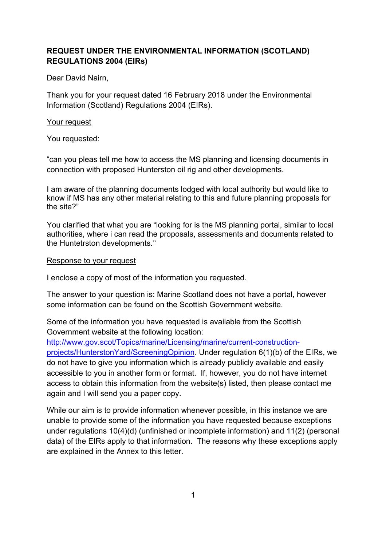# **REQUEST UNDER THE ENVIRONMENTAL INFORMATION (SCOTLAND) REGULATIONS 2004 (EIRs)**

Dear David Nairn,

Thank you for your request dated 16 February 2018 under the Environmental Information (Scotland) Regulations 2004 (EIRs).

### Your request

You requested:

"can you pleas tell me how to access the MS planning and licensing documents in connection with proposed Hunterston oil rig and other developments.

I am aware of the planning documents lodged with local authority but would like to know if MS has any other material relating to this and future planning proposals for the site?"

You clarified that what you are "looking for is the MS planning portal, similar to local authorities, where i can read the proposals, assessments and documents related to the Huntetrston developments."

#### Response to your request

I enclose a copy of most of the information you requested.

The answer to your question is: Marine Scotland does not have a portal, however some information can be found on the Scottish Government website.

Some of the information you have requested is available from the Scottish Government website at the following location:

http://www.gov.scot/Topics/marine/Licensing/marine/current-construction-

projects/HunterstonYard/ScreeningOpinion. Under regulation 6(1)(b) of the EIRs, we do not have to give you information which is already publicly available and easily accessible to you in another form or format. If, however, you do not have internet access to obtain this information from the website(s) listed, then please contact me again and I will send you a paper copy.

While our aim is to provide information whenever possible, in this instance we are unable to provide some of the information you have requested because exceptions under regulations 10(4)(d) (unfinished or incomplete information) and 11(2) (personal data) of the EIRs apply to that information. The reasons why these exceptions apply are explained in the Annex to this letter.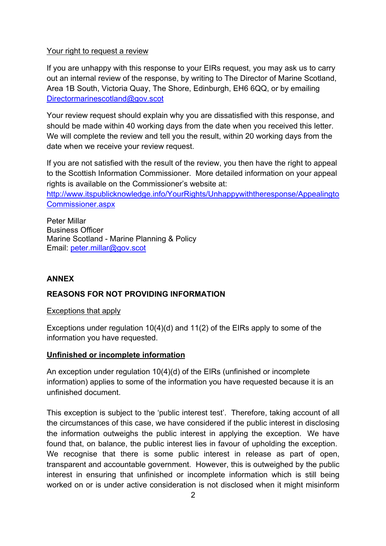#### Your right to request a review

If you are unhappy with this response to your EIRs request, you may ask us to carry out an internal review of the response, by writing to The Director of Marine Scotland, Area 1B South, Victoria Quay, The Shore, Edinburgh, EH6 6QQ, or by emailing Directormarinescotland@gov.scot

Your review request should explain why you are dissatisfied with this response, and should be made within 40 working days from the date when you received this letter. We will complete the review and tell you the result, within 20 working days from the date when we receive your review request.

If you are not satisfied with the result of the review, you then have the right to appeal to the Scottish Information Commissioner. More detailed information on your appeal rights is available on the Commissioner's website at:

http://www.itspublicknowledge.info/YourRights/Unhappywiththeresponse/Appealingto Commissioner.aspx

Peter Millar Business Officer Marine Scotland - Marine Planning & Policy Email: peter.millar@gov.scot

## **ANNEX**

## **REASONS FOR NOT PROVIDING INFORMATION**

Exceptions that apply

Exceptions under regulation 10(4)(d) and 11(2) of the EIRs apply to some of the information you have requested.

#### **Unfinished or incomplete information**

An exception under regulation 10(4)(d) of the EIRs (unfinished or incomplete information) applies to some of the information you have requested because it is an unfinished document.

This exception is subject to the 'public interest test'. Therefore, taking account of all the circumstances of this case, we have considered if the public interest in disclosing the information outweighs the public interest in applying the exception. We have found that, on balance, the public interest lies in favour of upholding the exception. We recognise that there is some public interest in release as part of open, transparent and accountable government. However, this is outweighed by the public interest in ensuring that unfinished or incomplete information which is still being worked on or is under active consideration is not disclosed when it might misinform